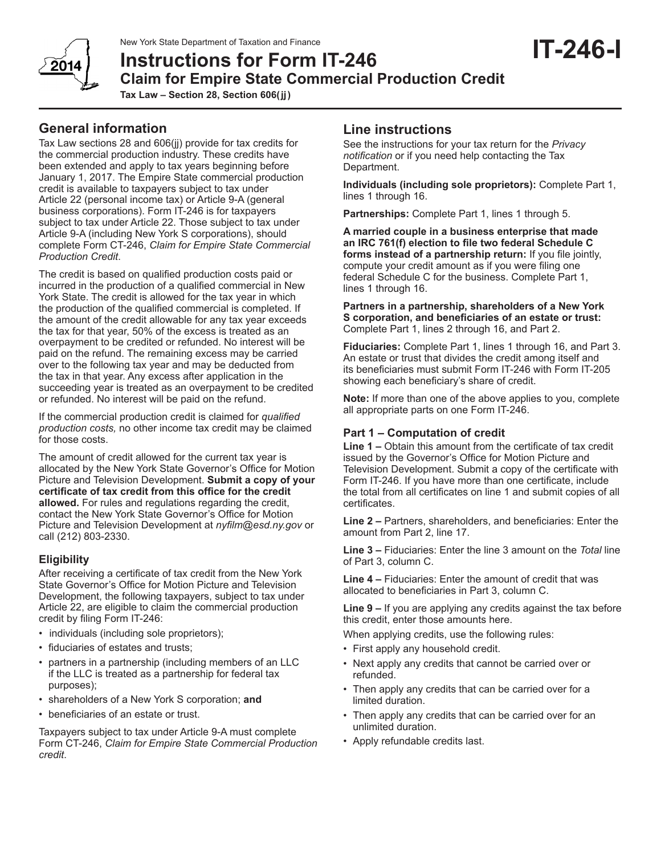# New York State Department of Taxation and Finance<br> **IT-246-I IT-246 Claim for Empire State Commercial Production Credit Tax Law – Section 28, Section 606(jj)**

Tax Law sections 28 and 606(jj) provide for tax credits for the commercial production industry. These credits have been extended and apply to tax years beginning before January 1, 2017. The Empire State commercial production credit is available to taxpayers subject to tax under Article 22 (personal income tax) or Article 9-A (general business corporations). Form IT-246 is for taxpayers subject to tax under Article 22. Those subject to tax under Article 9-A (including New York S corporations), should complete Form CT-246, *Claim for Empire State Commercial Production Credit*.

The credit is based on qualified production costs paid or incurred in the production of a qualified commercial in New York State. The credit is allowed for the tax year in which the production of the qualified commercial is completed. If the amount of the credit allowable for any tax year exceeds the tax for that year, 50% of the excess is treated as an overpayment to be credited or refunded. No interest will be paid on the refund. The remaining excess may be carried over to the following tax year and may be deducted from the tax in that year. Any excess after application in the succeeding year is treated as an overpayment to be credited or refunded. No interest will be paid on the refund.

If the commercial production credit is claimed for *qualified production costs,* no other income tax credit may be claimed for those costs.

The amount of credit allowed for the current tax year is allocated by the New York State Governor's Office for Motion Picture and Television Development. **Submit a copy of your certificate of tax credit from this office for the credit allowed.** For rules and regulations regarding the credit, contact the New York State Governor's Office for Motion Picture and Television Development at *nyfilm@esd.ny.gov* or call (212) 803-2330.

## **Eligibility**

After receiving a certificate of tax credit from the New York State Governor's Office for Motion Picture and Television Development, the following taxpayers, subject to tax under Article 22, are eligible to claim the commercial production credit by filing Form IT-246:

- individuals (including sole proprietors);
- fiduciaries of estates and trusts;
- partners in a partnership (including members of an LLC if the LLC is treated as a partnership for federal tax purposes);
- shareholders of a New York S corporation; **and**
- beneficiaries of an estate or trust.

Taxpayers subject to tax under Article 9-A must complete Form CT-246, *Claim for Empire State Commercial Production credit*.

# **Line instructions**

See the instructions for your tax return for the *Privacy notification* or if you need help contacting the Tax Department.

**Individuals (including sole proprietors):** Complete Part 1, lines 1 through 16.

**Partnerships:** Complete Part 1, lines 1 through 5.

**A married couple in a business enterprise that made an IRC 761(f) election to file two federal Schedule C forms instead of a partnership return:** If you file jointly, compute your credit amount as if you were filing one federal Schedule C for the business. Complete Part 1, lines 1 through 16.

**Partners in a partnership, shareholders of a New York S corporation, and beneficiaries of an estate or trust:** Complete Part 1, lines 2 through 16, and Part 2.

**Fiduciaries:** Complete Part 1, lines 1 through 16, and Part 3. An estate or trust that divides the credit among itself and its beneficiaries must submit Form IT-246 with Form IT-205 showing each beneficiary's share of credit.

**Note:** If more than one of the above applies to you, complete all appropriate parts on one Form IT-246.

## **Part 1 – Computation of credit**

**Line 1 –** Obtain this amount from the certificate of tax credit issued by the Governor's Office for Motion Picture and Television Development. Submit a copy of the certificate with Form IT-246. If you have more than one certificate, include the total from all certificates on line 1 and submit copies of all certificates.

**Line 2 –** Partners, shareholders, and beneficiaries: Enter the amount from Part 2, line 17.

**Line 3 –** Fiduciaries: Enter the line 3 amount on the *Total* line of Part 3, column C.

**Line 4 –** Fiduciaries: Enter the amount of credit that was allocated to beneficiaries in Part 3, column C.

**Line 9 –** If you are applying any credits against the tax before this credit, enter those amounts here.

When applying credits, use the following rules:

- First apply any household credit.
- Next apply any credits that cannot be carried over or refunded.
- Then apply any credits that can be carried over for a limited duration.
- Then apply any credits that can be carried over for an unlimited duration.
- Apply refundable credits last.